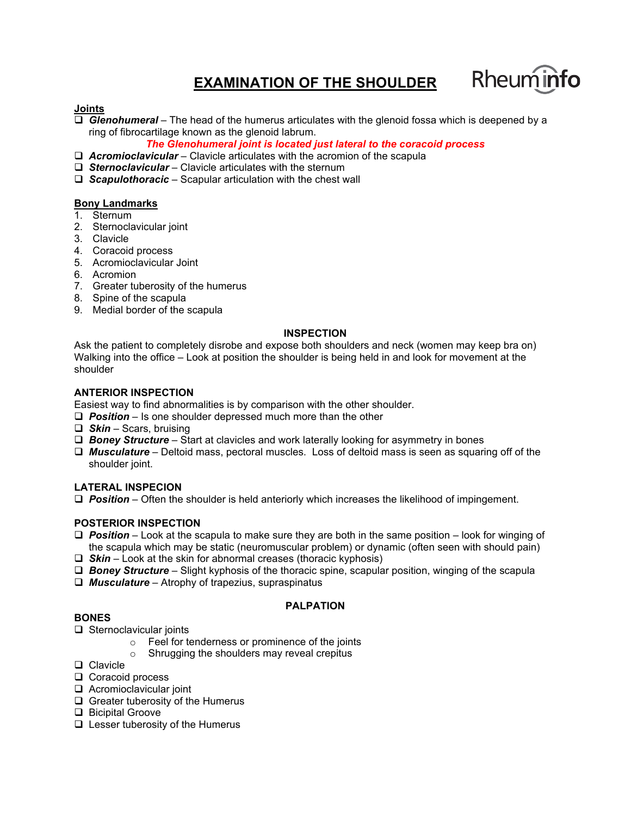# **EXAMINATION OF THE SHOULDER**



## **Joints**

 *Glenohumeral* – The head of the humerus articulates with the glenoid fossa which is deepened by a ring of fibrocartilage known as the glenoid labrum.

*The Glenohumeral joint is located just lateral to the coracoid process*

- *Acromioclavicular* Clavicle articulates with the acromion of the scapula
- *Sternoclavicular* Clavicle articulates with the sternum
- *Scapulothoracic* Scapular articulation with the chest wall

#### **Bony Landmarks**

- 1. Sternum
- 2. Sternoclavicular joint
- 3. Clavicle
- 4. Coracoid process
- 5. Acromioclavicular Joint
- 6. Acromion
- 7. Greater tuberosity of the humerus
- 8. Spine of the scapula
- 9. Medial border of the scapula

#### **INSPECTION**

Ask the patient to completely disrobe and expose both shoulders and neck (women may keep bra on) Walking into the office – Look at position the shoulder is being held in and look for movement at the shoulder

#### **ANTERIOR INSPECTION**

Easiest way to find abnormalities is by comparison with the other shoulder.

- *Position* Is one shoulder depressed much more than the other
- *Skin* Scars, bruising
- *Boney Structure* Start at clavicles and work laterally looking for asymmetry in bones
- *Musculature* Deltoid mass, pectoral muscles. Loss of deltoid mass is seen as squaring off of the shoulder joint.

## **LATERAL INSPECION**

*Position* – Often the shoulder is held anteriorly which increases the likelihood of impingement.

#### **POSTERIOR INSPECTION**

- *Position*  Look at the scapula to make sure they are both in the same position look for winging of the scapula which may be static (neuromuscular problem) or dynamic (often seen with should pain)
- *Skin* Look at the skin for abnormal creases (thoracic kyphosis)
- *Boney Structure* Slight kyphosis of the thoracic spine, scapular position, winging of the scapula
- *Musculature* Atrophy of trapezius, supraspinatus

## **PALPATION**

#### **BONES**

- $\Box$  Sternoclavicular joints
	- o Feel for tenderness or prominence of the joints
	- o Shrugging the shoulders may reveal crepitus
- □ Clavicle
- $\Box$  Coracoid process
- Acromioclavicular joint
- $\Box$  Greater tuberosity of the Humerus
- □ Bicipital Groove
- $\Box$  Lesser tuberosity of the Humerus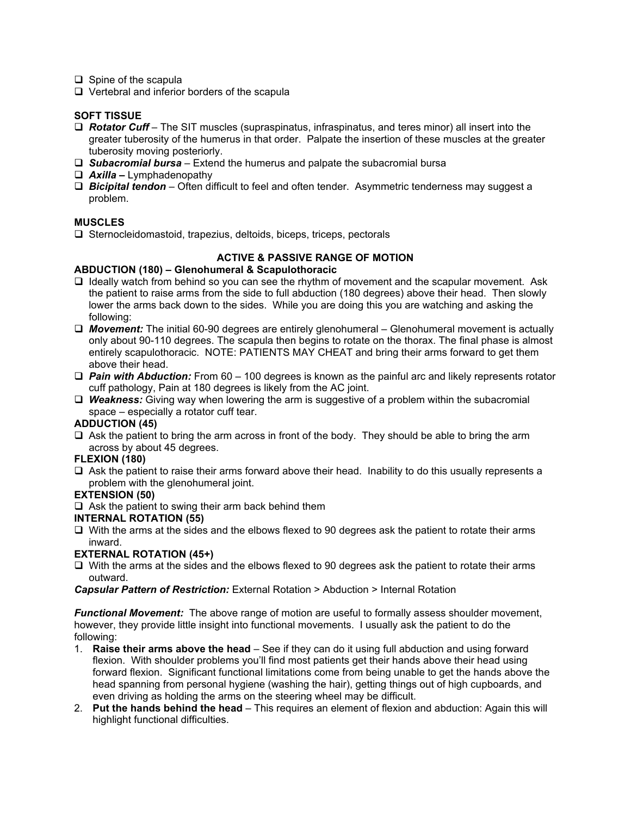- $\Box$  Spine of the scapula
- $\Box$  Vertebral and inferior borders of the scapula

## **SOFT TISSUE**

- *Rotator Cuff* The SIT muscles (supraspinatus, infraspinatus, and teres minor) all insert into the greater tuberosity of the humerus in that order. Palpate the insertion of these muscles at the greater tuberosity moving posteriorly.
- *Subacromial bursa* Extend the humerus and palpate the subacromial bursa
- *Axilla –* Lymphadenopathy
- *Bicipital tendon* Often difficult to feel and often tender. Asymmetric tenderness may suggest a problem.

## **MUSCLES**

 $\Box$  Sternocleidomastoid, trapezius, deltoids, biceps, triceps, pectorals

## **ACTIVE & PASSIVE RANGE OF MOTION**

#### **ABDUCTION (180) – Glenohumeral & Scapulothoracic**

- $\Box$  Ideally watch from behind so you can see the rhythm of movement and the scapular movement. Ask the patient to raise arms from the side to full abduction (180 degrees) above their head. Then slowly lower the arms back down to the sides. While you are doing this you are watching and asking the following:
- *Movement:* The initial 60-90 degrees are entirely glenohumeral Glenohumeral movement is actually only about 90-110 degrees. The scapula then begins to rotate on the thorax. The final phase is almost entirely scapulothoracic. NOTE: PATIENTS MAY CHEAT and bring their arms forward to get them above their head.
- *Pain with Abduction:* From 60 100 degrees is known as the painful arc and likely represents rotator cuff pathology, Pain at 180 degrees is likely from the AC joint.
- *Weakness:* Giving way when lowering the arm is suggestive of a problem within the subacromial space – especially a rotator cuff tear.

#### **ADDUCTION (45)**

 $\Box$  Ask the patient to bring the arm across in front of the body. They should be able to bring the arm across by about 45 degrees.

#### **FLEXION (180)**

 $\Box$  Ask the patient to raise their arms forward above their head. Inability to do this usually represents a problem with the glenohumeral joint.

#### **EXTENSION (50)**

 $\Box$  Ask the patient to swing their arm back behind them

## **INTERNAL ROTATION (55)**

 $\Box$  With the arms at the sides and the elbows flexed to 90 degrees ask the patient to rotate their arms inward.

#### **EXTERNAL ROTATION (45+)**

 $\Box$  With the arms at the sides and the elbows flexed to 90 degrees ask the patient to rotate their arms outward.

*Capsular Pattern of Restriction:* External Rotation > Abduction > Internal Rotation

*Functional Movement:* The above range of motion are useful to formally assess shoulder movement, however, they provide little insight into functional movements. I usually ask the patient to do the following:

- 1. **Raise their arms above the head** See if they can do it using full abduction and using forward flexion. With shoulder problems you'll find most patients get their hands above their head using forward flexion. Significant functional limitations come from being unable to get the hands above the head spanning from personal hygiene (washing the hair), getting things out of high cupboards, and even driving as holding the arms on the steering wheel may be difficult.
- 2. **Put the hands behind the head** This requires an element of flexion and abduction: Again this will highlight functional difficulties.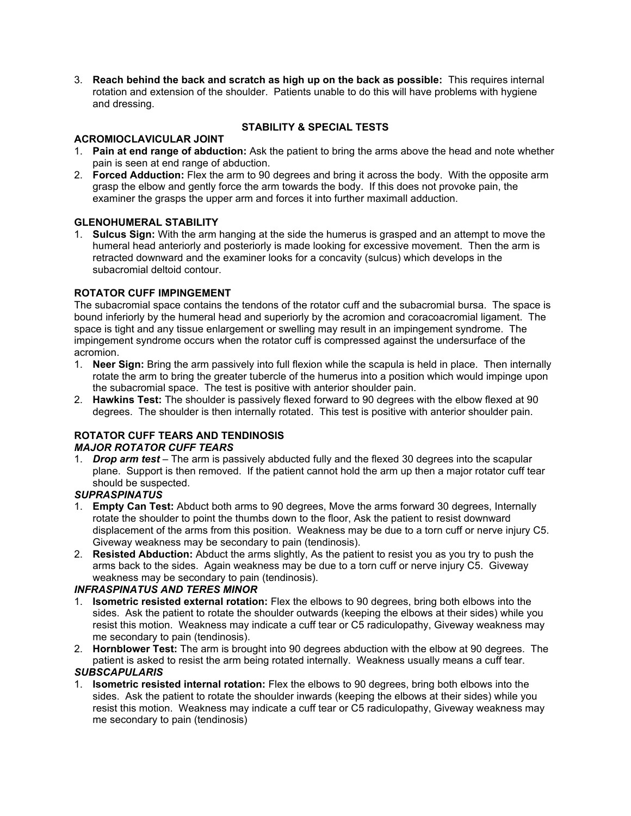3. **Reach behind the back and scratch as high up on the back as possible:** This requires internal rotation and extension of the shoulder. Patients unable to do this will have problems with hygiene and dressing.

## **ACROMIOCLAVICULAR JOINT**

# **STABILITY & SPECIAL TESTS**

- 1. **Pain at end range of abduction:** Ask the patient to bring the arms above the head and note whether pain is seen at end range of abduction.
- 2. **Forced Adduction:** Flex the arm to 90 degrees and bring it across the body. With the opposite arm grasp the elbow and gently force the arm towards the body. If this does not provoke pain, the examiner the grasps the upper arm and forces it into further maximall adduction.

## **GLENOHUMERAL STABILITY**

1. **Sulcus Sign:** With the arm hanging at the side the humerus is grasped and an attempt to move the humeral head anteriorly and posteriorly is made looking for excessive movement. Then the arm is retracted downward and the examiner looks for a concavity (sulcus) which develops in the subacromial deltoid contour.

## **ROTATOR CUFF IMPINGEMENT**

The subacromial space contains the tendons of the rotator cuff and the subacromial bursa. The space is bound inferiorly by the humeral head and superiorly by the acromion and coracoacromial ligament. The space is tight and any tissue enlargement or swelling may result in an impingement syndrome. The impingement syndrome occurs when the rotator cuff is compressed against the undersurface of the acromion.

- 1. **Neer Sign:** Bring the arm passively into full flexion while the scapula is held in place. Then internally rotate the arm to bring the greater tubercle of the humerus into a position which would impinge upon the subacromial space. The test is positive with anterior shoulder pain.
- 2. **Hawkins Test:** The shoulder is passively flexed forward to 90 degrees with the elbow flexed at 90 degrees. The shoulder is then internally rotated. This test is positive with anterior shoulder pain.

## **ROTATOR CUFF TEARS AND TENDINOSIS**

## *MAJOR ROTATOR CUFF TEARS*

1. *Drop arm test* – The arm is passively abducted fully and the flexed 30 degrees into the scapular plane. Support is then removed. If the patient cannot hold the arm up then a major rotator cuff tear should be suspected.

#### *SUPRASPINATUS*

- 1. **Empty Can Test:** Abduct both arms to 90 degrees, Move the arms forward 30 degrees, Internally rotate the shoulder to point the thumbs down to the floor, Ask the patient to resist downward displacement of the arms from this position. Weakness may be due to a torn cuff or nerve injury C5. Giveway weakness may be secondary to pain (tendinosis).
- 2. **Resisted Abduction:** Abduct the arms slightly, As the patient to resist you as you try to push the arms back to the sides. Again weakness may be due to a torn cuff or nerve injury C5. Giveway weakness may be secondary to pain (tendinosis).

## *INFRASPINATUS AND TERES MINOR*

- 1. **Isometric resisted external rotation:** Flex the elbows to 90 degrees, bring both elbows into the sides. Ask the patient to rotate the shoulder outwards (keeping the elbows at their sides) while you resist this motion. Weakness may indicate a cuff tear or C5 radiculopathy, Giveway weakness may me secondary to pain (tendinosis).
- 2. **Hornblower Test:** The arm is brought into 90 degrees abduction with the elbow at 90 degrees. The patient is asked to resist the arm being rotated internally. Weakness usually means a cuff tear.

## *SUBSCAPULARIS*

1. **Isometric resisted internal rotation:** Flex the elbows to 90 degrees, bring both elbows into the sides. Ask the patient to rotate the shoulder inwards (keeping the elbows at their sides) while you resist this motion. Weakness may indicate a cuff tear or C5 radiculopathy, Giveway weakness may me secondary to pain (tendinosis)